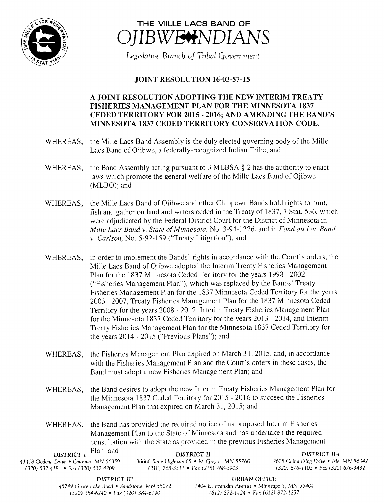



Legislative Branch of Tribal Government

## JOINT RESOLUTION 16-03-57-15

## A JOINT RESOLUTION ADOPTING THE NEW INTERIM TREATY FISHERIES MANAGEMENT PLAN FOR THE MINNESOTA 1837 CEDED TERRITORY FOR 2015 - 2016; AND AMENDING THE BAND'S MINNESOTA 1837 CEDED TERRITORY CONSERVATION CODE.

- WHEREAS, the Mille Lacs Band Assembly is the duly elected governing body of the Mille Lacs Band of Ojibwe, a federally-recognized Indian Tribe; and
- WHEREAS, the Band Assembly acting pursuant to 3 MLBSA  $\S$  2 has the authority to enact laws which promote the general welfare of the Mille Lacs Band of Ojibwe MLBO); and
- WHEREAS, the Mille Lacs Band of Ojibwe and other Chippewa Bands hold rights to hunt, fish and gather on land and waters ceded in the Treaty of 1837, 7 Stat. 536, which were adjudicated by the Federal District Court for the District of Minnesota in Mille Lacs Band v. State of Minnesota, No. 3-94-1226, and in Fond du Lac Band v. Carlson, No. 5-92-159 ("Treaty Litigation"); and
- WHEREAS, in order to implement the Bands' rights in accordance with the Court's orders, the Mille Lacs Band of Ojibwe adopted the Interim Treaty Fisheries Management Plan for the <sup>1837</sup> Minnesota Ceded Territory for the years 1998 - 2002 Fisheries Management Plan"), which was replaced by the Bands' Treaty Fisheries Management Plan for the 1837 Minnesota Ceded Territory for the years 2003 - 2007, Treaty Fisheries Management Plan for the 1837 Minnesota Ceded Territory for the years 2008 - 2012, Interim Treaty Fisheries Management Plan for the Minnesota <sup>1837</sup> Ceded Territory for the years 2013 - 2014, and Interim Treaty Fisheries Management Plan for the Minnesota 1837 Ceded Territory for the years 2014 - 2015 (" Previous Plans"); and
- WHEREAS, the Fisheries Management Plan expired on March 31, 2015, and, in accordance with the Fisheries Management Plan and the Court's orders in these cases, the Band must adopt <sup>a</sup> new Fisheries Management Plan; and
- WHEREAS, the Band desires to adopt the new Interim Treaty Fisheries Management Plan for the Minnesota <sup>1837</sup> Ceded Territory for 2015 - 2016 to succeed the Fisheries Management Plan that expired on March 31, 2015; and
- WHEREAS, the Band has provided the required notice of its proposed Interim Fisheries Management Plan to the State of Minnesota and has undertaken the required consultation with the State as provided in the previous Fisheries Management

| <b>DISTRICT</b> $I$ Plan; and           | DISTRICT II                                 | DISTRICT HA                             |
|-----------------------------------------|---------------------------------------------|-----------------------------------------|
| 43408 Oodena Drive • Onamia. MN 56359 · | 36666 State Highway 65 • McGregor, MN 55760 | 2605 Chiminising Drive • Isle, MN 56342 |
| $(320)$ 532-4181 • Fax (320) 532-4209   | $(218)$ 768-3311 • Fax (218) 768-3903       | $(320)$ 676-1102 • Fax (320) 676-3432   |